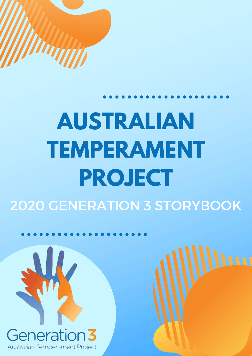

# **AUSTRALIAN TEMPERAMENT PROJECT** 2020 GENERATION 3 STORYBOOK

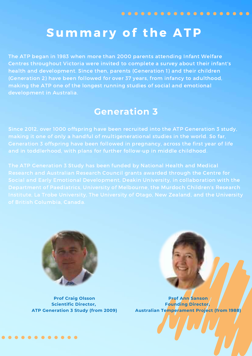#### Summary of the ATP

The ATP began in 1983 when more than 2000 parents attending Infant Welfare Centres throughout Victoria were invited to complete a survey about their infant's health and development. Since then, parents (Generation 1) and their children (Generation 2) have been followed for over 37 years, from infancy to adulthood, making the ATP one of the longest running studies of social and emotional development in Australia.

#### **Generation 3**

Since 2012, over 1000 offspring have been recruited into the ATP Generation 3 study, making it one of only a handful of multigenerational studies in the world. So far, Generation 3 offspring have been followed in pregnancy, across the first year of life and in toddlerhood, with plans for further follow-up in middle childhood.

The ATP Generation 3 Study has been funded by National Health and Medical Research and Australian Research Council grants awarded through the Centre for



**Prof Craig Olsson Scientific Director, ATP Generation 3 Study (from 2009)**

. . . . . . . . . . . .

**Prof Ann Sanson Founding Director, Australian Temperament Project (from 1988)**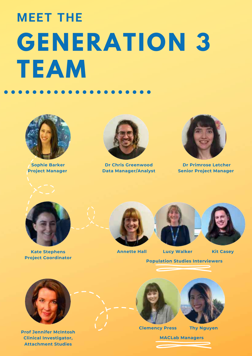## **GENERATION 3 TEAM MEET THE**



**Sophie Barker Project Manager**



**Dr Chris Greenwood Data Manager/Analyst**



**Dr Primrose Letcher Senior Project Manager**



**Kate Stephens Project Coordinator**



**Annette Hall Lucy Walker Kit Casey**

**Population Studies Interviewers**



**Prof Jennifer McIntosh Clinical Investigator, Attachment Studies**



**Clemency Press**



**Thy Nguyen**

**MACLab Managers**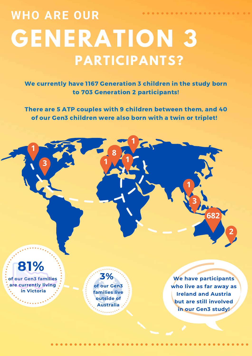### **WHO ARE OUR** . . . . . . . . . . . . . . . . . **GENERATION 3 PARTICIPANTS?**

We currently have 1167 Generation 3 children in the study born to 703 Generation 2 participants!

There are 5 ATP couples with 9 children between them, and 40 of our Gen3 children were also born with a twin or triplet!

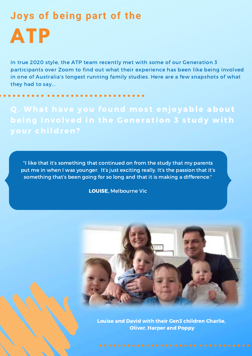### **ATP Joys of being part of the**

In true 2020 style, the ATP team recently met with some of our Generation 3 participants over Zoom to find out what their experience has been like being involved in one of Australia's longest running family studies. Here are a few snapshots of what they had to say...

Q. What have you found most enjoyable about being involved in the Generation 3 study with your children?

"I like that it's something that continued on from the study that my parents put me in when I was younger. It's just exciting really. It's the passion that it's something that's been going for so long and that it is making a difference."

LOUISE, Melbourne Vic



Louise and David with their Gen3 children Charlie, Oliver, Harper and Poppy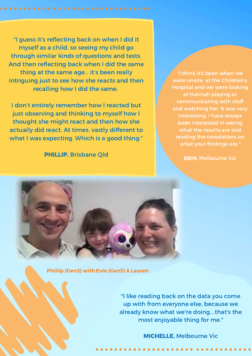"I guess it's reflecting back on when I did it myself as a child, so seeing my child go through similar kinds of questions and tests. And then reflecting back when I did the same thing at the same age... it's been really intriguing just to see how she reacts and then recalling how I did the same.

I don't entirely remember how I reacted but just observing and thinking to myself how I thought she might react and then how she actually did react. At times, vastly different to what I was expecting. Which is a good thing."

PHILLIP, Brisbane Qld

"I think it's been when we were onsite, at the Children's Hospital and we were looking at Hannah playing or communicating with staff and watching her. It was very interesting. I have always been interested in seeing what the results are and reading the newsletters on what your findings are."

ERIN, Melbourne Vic



Phillip (Gen2) with Evie (Gen3) & Lauren

"I like reading back on the data you come up with from everyone else, because we already know what we're doing….that's the most enjoyable thing for me."

MICHELLE, Melbourne Vic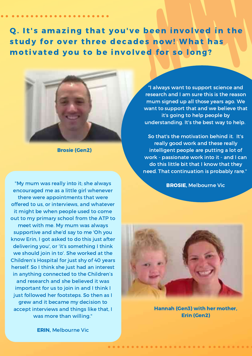Q. It's amazing that you've been involved in the study for over three decades now! What has motivated you to be involved for so long?



Brosie (Gen2)

"My mum was really into it; she always encouraged me as a little girl whenever there were appointments that were offered to us, or interviews, and whatever it might be when people used to come out to my primary school from the ATP to meet with me. My mum was always supportive and she'd say to me 'Oh you know Erin, I got asked to do this just after delivering you', or 'it's something I think we should join in to'. She worked at the Children's Hospital for just shy of 40 years herself. So I think she just had an interest in anything connected to the Children's and research and she believed it was important for us to join in and I think I just followed her footsteps. So then as I grew and it became my decision to accept interviews and things like that, I was more than willing."

"I always want to support science and research and I am sure this is the reason mum signed up all those years ago. We want to support that and we believe that it's going to help people by understanding. It's the best way to help.

So that's the motivation behind it. It's really good work and these really intelligent people are putting a lot of work - passionate work into it - and I can do this little bit that I know that they need. That continuation is probably rare."

BROSIE, Melbourne Vic



Hannah (Gen3) with her mother, Erin (Gen2)

ERIN, Melbourne Vic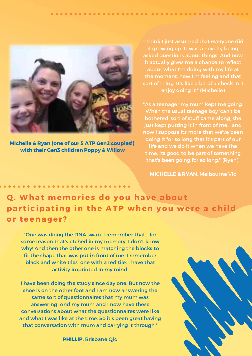

Michelle & Ryan (one of our 5 ATP Gen2 couples!) with their Gen3 children Poppy & Willow

"I think I just assumed that everyone did it growing up! It was a novelty being asked questions about things. And now it actually gives me a chance to reflect about what I'm doing with my life at the moment, how I'm feeling and that sort of thing. It's like a bit of a check in. I enjoy doing it." (Michelle)

"As a teenager my mum kept me going. When the usual teenage boy 'can't be bothered' sort of stuff came along, she just kept putting it in front of me... and now I suppose its more that we've been doing it for so long that it's part of our life and we do it when we have the time. Its good to be part of something that's been going for so long." (Ryan)

MICHELLE & RYAN, Melbourne Vic

Q. What memories do you have about participating in the ATP when you were a child or teenager?

"One was doing the DNA swab. I remember that... for some reason that's etched in my memory. I don't know why! And then the other one is matching the blocks to fit the shape that was put in front of me. I remember black and white tiles, one with a red tile. I have that activity imprinted in my mind.

I have been doing the study since day one. But now the shoe is on the other foot and I am now answering the same sort of questionnaires that my mum was answering. And my mum and I now have these conversations about what the questionnaires were like and what I was like at the time. So it's been great having that conversation with mum and carrying it through."

PHILLIP, Brisbane Qld

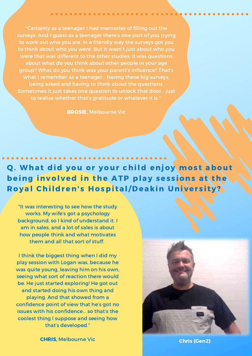"Certainly as a teenager I had memories of filling out the surveys. And I guess as a teenager there's one part of you trying to work out who you are. In a friendly way the surveys got you to think about who you were. But it wasn't just about who you were that was different to the other studies, it was questions about what do you think about other people in your age group? What do you think was your parent's influence? That's what I remember as a teenager... having these big surveys, being asked and having to think about the questions. Sometimes it just takes one question to unlock that door... just to realise whether that's gratitude or whatever it is."

BROSIE, Melbourne Vic

#### Q. What did you or your child enjoy most about being involved in the ATP play sessions at the Royal Children's Hospital/Deakin University?

"It was interesting to see how the study works. My wife's got a psychology background, so I kind of understand it. I am in sales, and a lot of sales is about how people think and what motivates them and all that sort of stuff.

I think the biggest thing when I did my play session with Logan was, because he was quite young, leaving him on his own, seeing what sort of reaction there would be. He just started exploring! He got out and started doing his own thing and playing. And that showed from a confidence point of view that he's got no issues with his confidence... so that's the coolest thing I suppose and seeing how that's developed."



**CHRIS**, Melbourne Vic Chris (Gen2)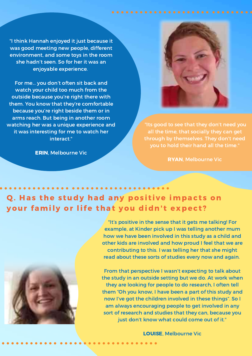"I think Hannah enjoyed it just because it was good meeting new people, different environment, and some toys in the room she hadn't seen. So for her it was an enjoyable experience.

For me... you don't often sit back and watch your child too much from the outside because you're right there with them. You know that they're comfortable because you're right beside them or in arms reach. But being in another room watching her was a unique experience and it was interesting for me to watch her interact."

ERIN, Melbourne Vic



"Its good to see that they don't need you all the time, that socially they can get through by themselves. They don't need you to hold their hand all the time."

RYAN, Melbourne Vic

#### Q. Has the study had any positive impacts on your family or life that you didn't expect?



"It's positive in the sense that it gets me talking! For example, at Kinder pick up I was telling another mum how we have been involved in this study as a child and other kids are involved and how proud I feel that we are contributing to this. I was telling her that she might read about these sorts of studies every now and again.

From that perspective I wasn't expecting to talk about the study in an outside setting but we do. At work when they are looking for people to do research, I often tell them "Oh you know, I have been a part of this study and now I've got the children involved in these things". So I am always encouraging people to get involved in any sort of research and studies that they can, because you just don't know what could come out of it."

LOUISE, Melbourne Vic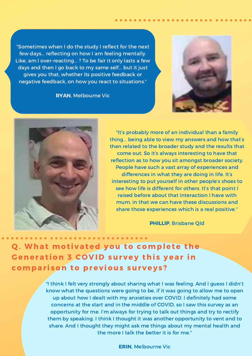"Sometimes when I do the study I reflect for the next few days... reflecting on how I am feeling mentally. Like, am I over-reacting... ? To be fair it only lasts a few days and then I go back to my same self... but it just gives you that, whether its positive feedback or negative feedback, on how you react to situations."

RYAN, Melbourne Vic





"It's probably more of an individual than a family thing... being able to view my answers and how that's then related to the broader study and the results that come out. So it's always interesting to have that reflection as to how you sit amongst broader society. People have such a vast array of experiences and differences in what they are doing in life. It's interesting to put yourself in other people's shoes to see how life is different for others. It's that point I raised before about that interaction I have with mum, in that we can have these discussions and share those experiences which is a real positive."

PHILLIP, Brisbane Qld

#### Q. What motivated you to complete the Generation 3 COVID survey this year in comparison to previous surveys?

"I think I felt very strongly about sharing what I was feeling. And I guess I didn't know what the questions were going to be, if it was going to allow me to open up about how I dealt with my anxieties over COVID. I definitely had some concerns at the start and in the middle of COVID, so I saw this survey as an opportunity for me. I'm always for trying to talk out things and try to rectify them by speaking. I think I thought it was another opportunity to vent and to share. And I thought they might ask me things about my mental health and the more I talk the better it is for me."

ERIN, Melbourne Vic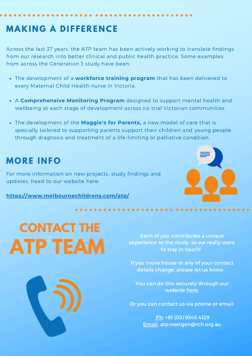#### **MAKI N G A DIFFERE N CE**

Across the last 37 years, the ATP team has been actively working to translate findings from our research into better clinical and public health practice, Some examples from across the Generation 3 study have been:

- The development of a **workforce training program** that has been delivered to every Maternal Child Health nurse in Victoria.
- A **Comprehensive Monitoring Program** designed to support mental health and wellbeing at each stage of development across six trial Victorian communities.
- The development of the **Maggie's for Parents,** a new model of care that is specially tailored to supporting parents support their children and young people through diagnosis and treatment of a life-limiting or palliative condition.

#### **MORE I N FO**

For more information on new projects, study findings and updates, head to our website here:

**<https://www.melbournechildrens.com/atp/>**

## **CONTACT THE ATP TEAM**

Each of you contributes a unique experience to the study, so we really want to stay in touch!

If you move house or any of your contact details change, please let us know.

You can do this securely through our website [here.](http://www.melbournechildrens.com/atp/participants/update-your-details)

Or you can contact us via phone or email:

Ph: +61 (03) 9345 4129 Email: atp.nextgen@rch.org.au